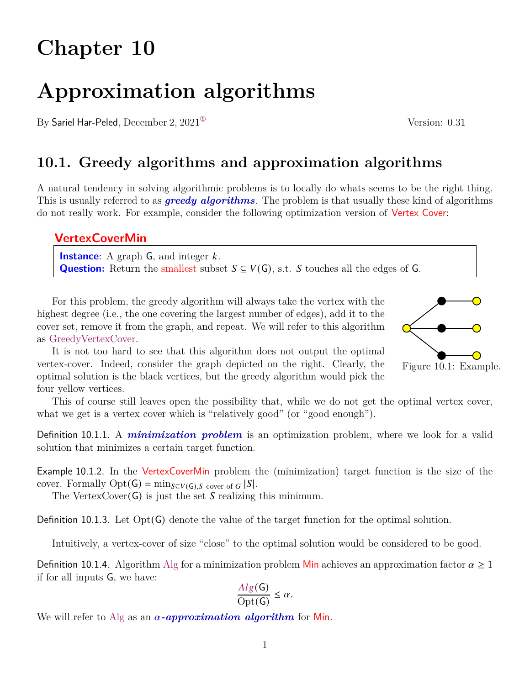# **Chapter 10**

# **Approximation algorithms**

By Sariel Har-Peled, December 2,  $2021^{\circ}$  Version: 0.31

# **10.1. Greedy algorithms and approximation algorithms**

A natural tendency in solving algorithmic problems is to locally do whats seems to be the right thing. This is usually referred to as *greedy algorithms*. The problem is that usually these kind of algorithms do not really work. For example, consider the following optimization version of Vertex Cover:

### **VertexCoverMin**

**Instance:** A graph  $\mathsf{G}$ , and integer  $k$ . **Question:** Return the smallest subset  $S \subseteq V(G)$ , s.t. *S* touches all the edges of *G*.

For this problem, the greedy algorithm will always take the vertex with the highest degree (i.e., the one covering the largest number of edges), add it to the cover set, remove it from the graph, and repeat. We will refer to this algorithm as GreedyVertexCover.

It is not too hard to see that this algorithm does not output the optimal vertex-cover. Indeed, consider the graph depicted on the right. Clearly, the optimal solution is the black vertices, but the greedy algorithm would pick the four yellow vertices.

This of course still leaves open the possibility that, while we do not get the optimal vertex cover, what we get is a vertex cover which is "relatively good" (or "good enough").

Definition 10.1.1. A *minimization problem* is an optimization problem, where we look for a valid solution that minimizes a certain target function.

Example 10.1.2. In the VertexCoverMin problem the (minimization) target function is the size of the cover. Formally  $\text{Opt}(\mathsf{G}) = \min_{S \subseteq V(\mathsf{G}), S \text{ cover of } G} |S|.$ 

The VertexCover( $G$ ) is just the set S realizing this minimum.

Definition 10.1.3. Let Opt(G) denote the value of the target function for the optimal solution.

Intuitively, a vertex-cover of size "close" to the optimal solution would be considered to be good.

Definition 10.1.4. Algorithm Alg for a minimization problem Min achieves an approximation factor  $\alpha \geq 1$ if for all inputs G, we have:

$$
\frac{Alg(G)}{Opt(G)} \le \alpha.
$$

We will refer to Alg as an  $\alpha$ -approximation algorithm for Min.



<span id="page-0-0"></span>Figure 10.1: Example.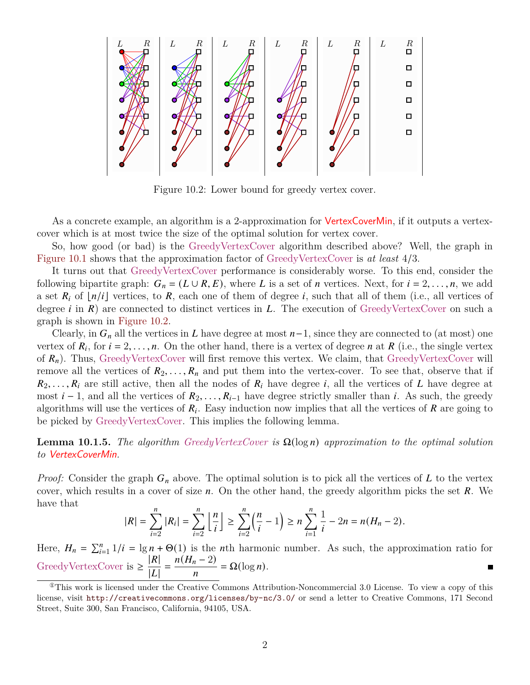<span id="page-1-1"></span>

Figure 10.2: Lower bound for greedy vertex cover.

As a concrete example, an algorithm is a 2-approximation for **VertexCoverMin**, if it outputs a vertexcover which is at most twice the size of the optimal solution for vertex cover.

So, how good (or bad) is the GreedyVertexCover algorithm described above? Well, the graph in [Figure 10.1](#page-0-0) shows that the approximation factor of GreedyVertexCover is *at least* 4/3.

It turns out that GreedyVertexCover performance is considerably worse. To this end, consider the following bipartite graph:  $G_n = (L \cup R, E)$ , where L is a set of *n* vertices. Next, for  $i = 2, \ldots, n$ , we add a set  $R_i$  of  $\lfloor n/i \rfloor$  vertices, to R, each one of them of degree i, such that all of them (i.e., all vertices of degree *i* in  $\mathbb{R}$  are connected to distinct vertices in  $\mathbb{Z}$ . The execution of GreedyVertexCover on such a graph is shown in [Figure 10.2.](#page-1-1)

Clearly, in  $G_n$  all the vertices in L have degree at most  $n-1$ , since they are connected to (at most) one vertex of  $R_i$ , for  $i = 2, \ldots, n$ . On the other hand, there is a vertex of degree n at R (i.e., the single vertex of  $R_n$ ). Thus, GreedyVertexCover will first remove this vertex. We claim, that GreedyVertexCover will remove all the vertices of  $R_2, \ldots, R_n$  and put them into the vertex-cover. To see that, observe that if  $R_2, \ldots, R_i$  are still active, then all the nodes of  $R_i$  have degree i, all the vertices of L have degree at most  $i-1$ , and all the vertices of  $R_2, \ldots, R_{i-1}$  have degree strictly smaller than i. As such, the greedy algorithms will use the vertices of  $R_i$ . Easy induction now implies that all the vertices of  $R$  are going to be picked by GreedyVertexCover. This implies the following lemma.

<span id="page-1-2"></span>**Lemma 10.1.5.** *The algorithm GreedyVertexCover* is  $\Omega(\log n)$  approximation to the optimal solution *to* VertexCoverMin*.*

*Proof:* Consider the graph  $G_n$  above. The optimal solution is to pick all the vertices of  $L$  to the vertex cover, which results in a cover of size  $n$ . On the other hand, the greedy algorithm picks the set  $R$ . We have that

$$
|R| = \sum_{i=2}^{n} |R_i| = \sum_{i=2}^{n} \left\lfloor \frac{n}{i} \right\rfloor \ge \sum_{i=2}^{n} \left(\frac{n}{i} - 1\right) \ge n \sum_{i=1}^{n} \frac{1}{i} - 2n = n(H_n - 2).
$$

Here,  $H_n = \sum_{i=1}^n 1/i = \lg n + \Theta(1)$  is the *n*th harmonic number. As such, the approximation ratio for GreedyVertexCover is  $\geq$  $|R|$  $\frac{|R|}{|L|} = \frac{n(H_n - 2)}{n}$  $\frac{n-2j}{n} = \Omega(\log n).$ 

<span id="page-1-0"></span> $^{\circ}$ This work is licensed under the Creative Commons Attribution-Noncommercial 3.0 License. To view a copy of this license, visit <http://creativecommons.org/licenses/by-nc/3.0/> or send a letter to Creative Commons, 171 Second Street, Suite 300, San Francisco, California, 94105, USA.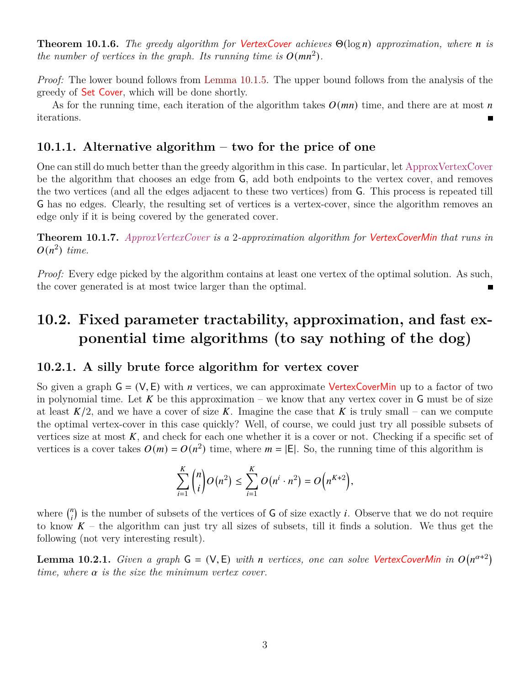**Theorem 10.1.6.** *The greedy algorithm for VertexCover achieves*  $\Theta(\log n)$  *approximation, where n is the number of vertices in the graph. Its running time is*  $O(mn^2)$ .

*Proof:* The lower bound follows from [Lemma 10.1.5.](#page-1-2) The upper bound follows from the analysis of the greedy of Set Cover, which will be done shortly.

As for the running time, each iteration of the algorithm takes  $O(mn)$  time, and there are at most n iterations.

### **10.1.1. Alternative algorithm – two for the price of one**

One can still do much better than the greedy algorithm in this case. In particular, let ApproxVertexCover be the algorithm that chooses an edge from G, add both endpoints to the vertex cover, and removes the two vertices (and all the edges adjacent to these two vertices) from G. This process is repeated till G has no edges. Clearly, the resulting set of vertices is a vertex-cover, since the algorithm removes an edge only if it is being covered by the generated cover.

**Theorem 10.1.7.** *ApproxVertexCover is a* 2*-approximation algorithm for* VertexCoverMin *that runs in*  $O(n^2)$  time.

*Proof:* Every edge picked by the algorithm contains at least one vertex of the optimal solution. As such, the cover generated is at most twice larger than the optimal.

## **10.2. Fixed parameter tractability, approximation, and fast exponential time algorithms (to say nothing of the dog)**

#### **10.2.1. A silly brute force algorithm for vertex cover**

So given a graph  $G = (V, E)$  with *n* vertices, we can approximate VertexCoverMin up to a factor of two in polynomial time. Let  $K$  be this approximation – we know that any vertex cover in  $G$  must be of size at least  $K/2$ , and we have a cover of size K. Imagine the case that K is truly small – can we compute the optimal vertex-cover in this case quickly? Well, of course, we could just try all possible subsets of vertices size at most  $K$ , and check for each one whether it is a cover or not. Checking if a specific set of vertices is a cover takes  $O(m) = O(n^2)$  time, where  $m = |E|$ . So, the running time of this algorithm is

$$
\sum_{i=1}^{K} {n \choose i} O(n^2) \le \sum_{i=1}^{K} O(n^i \cdot n^2) = O(n^{K+2}),
$$

where  $\binom{n}{i}$  $\binom{n}{i}$  is the number of subsets of the vertices of G of size exactly *i*. Observe that we do not require to know  $K$  – the algorithm can just try all sizes of subsets, till it finds a solution. We thus get the following (not very interesting result).

**Lemma 10.2.1.** *Given a graph*  $G = (V, E)$  *with n vertices, one can solve VertexCoverMin in*  $O(n^{\alpha+2})$ *time, where*  $\alpha$  *is the size the minimum vertex cover.*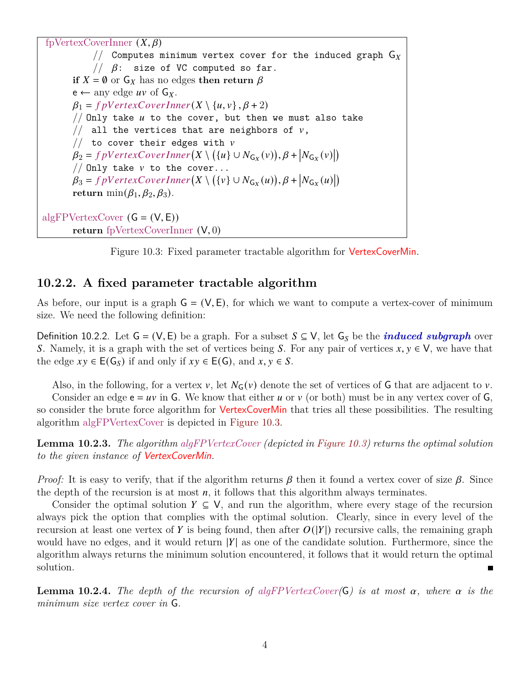<span id="page-3-0"></span>fpVertexCoverInner  $(X, \beta)$ // Computes minimum vertex cover for the induced graph  $G_X$  $1/ \beta$ : size of VC computed so far. **if**  $X = \emptyset$  or  $G_X$  has no edges **then return**  $\beta$  $e \leftarrow \text{any edge } uv \text{ of } G_X.$  $\beta_1 = f$  pV ertex C over Inner  $(X \setminus \{u, v\}, \beta + 2)$ // Only take  $u$  to the cover, but then we must also take // all the vertices that are neighbors of  $v$ , // to cover their edges with  $v$  $\beta_2 = f pVertexCoverInner(X \setminus ({u} \cup N_{G_X}(v)), \beta + |N_{G_X}(v)|)$ // Only take  $v$  to the cover...  $\beta_3 = f\rho VertexCoverInner(X \setminus ({v} \cup N_{G_X}(u)), \beta + |N_{G_X}(u)|)$ **return** min $(\beta_1, \beta_2, \beta_3)$ . algFPVertexCover  $(G = (V, E))$ **return** fpVertexCoverInner (V, 0)



#### **10.2.2. A fixed parameter tractable algorithm**

As before, our input is a graph  $G = (V, E)$ , for which we want to compute a vertex-cover of minimum size. We need the following definition:

Definition 10.2.2. Let  $G = (V, E)$  be a graph. For a subset  $S \subseteq V$ , let  $G_S$  be the *induced subgraph* over S. Namely, it is a graph with the set of vertices being S. For any pair of vertices  $x, y \in V$ , we have that the edge  $xy \in E(G_S)$  if and only if  $xy \in E(G)$ , and  $x, y \in S$ .

Also, in the following, for a vertex v, let  $N_G(v)$  denote the set of vertices of G that are adjacent to v. Consider an edge  $e = uv$  in G. We know that either u or v (or both) must be in any vertex cover of G, so consider the brute force algorithm for VertexCoverMin that tries all these possibilities. The resulting algorithm algFPVertexCover is depicted in [Figure 10.3.](#page-3-0)

**Lemma 10.2.3.** *The algorithm algFPVertexCover (depicted in [Figure 10.3\)](#page-3-0) returns the optimal solution to the given instance of* VertexCoverMin*.*

*Proof:* It is easy to verify, that if the algorithm returns  $\beta$  then it found a vertex cover of size  $\beta$ . Since the depth of the recursion is at most  $n$ , it follows that this algorithm always terminates.

Consider the optimal solution  $Y \subseteq V$ , and run the algorithm, where every stage of the recursion always pick the option that complies with the optimal solution. Clearly, since in every level of the recursion at least one vertex of Y is being found, then after  $O(|Y|)$  recursive calls, the remaining graph would have no edges, and it would return  $|Y|$  as one of the candidate solution. Furthermore, since the algorithm always returns the minimum solution encountered, it follows that it would return the optimal solution.

<span id="page-3-1"></span>**Lemma 10.2.4.** The depth of the recursion of algFPVertexCover( $\mathsf{G}$ ) is at most  $\alpha$ , where  $\alpha$  is the *minimum size vertex cover in* G*.*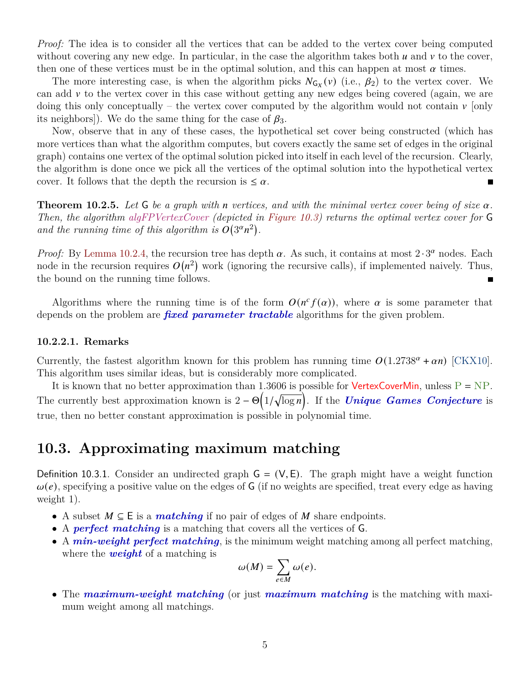*Proof:* The idea is to consider all the vertices that can be added to the vertex cover being computed without covering any new edge. In particular, in the case the algorithm takes both  $u$  and  $v$  to the cover, then one of these vertices must be in the optimal solution, and this can happen at most  $\alpha$  times.

The more interesting case, is when the algorithm picks  $N_{G_X}(v)$  (i.e.,  $\beta_2$ ) to the vertex cover. We can add  $\nu$  to the vertex cover in this case without getting any new edges being covered (again, we are doing this only conceptually – the vertex cover computed by the algorithm would not contain  $\nu$  [only its neighbors]). We do the same thing for the case of  $\beta_3$ .

Now, observe that in any of these cases, the hypothetical set cover being constructed (which has more vertices than what the algorithm computes, but covers exactly the same set of edges in the original graph) contains one vertex of the optimal solution picked into itself in each level of the recursion. Clearly, the algorithm is done once we pick all the vertices of the optimal solution into the hypothetical vertex cover. It follows that the depth the recursion is  $\leq \alpha$ .  $\blacksquare$ 

**Theorem 10.2.5.** Let  $\mathsf{G}$  be a graph with n vertices, and with the minimal vertex cover being of size  $\alpha$ . *Then, the algorithm algFPVertexCover (depicted in [Figure 10.3\)](#page-3-0) returns the optimal vertex cover for* G and the running time of this algorithm is  $O(3^{\alpha}n^2)$ .

*Proof:* By [Lemma 10.2.4,](#page-3-1) the recursion tree has depth  $\alpha$ . As such, it contains at most  $2 \cdot 3^{\alpha}$  nodes. Each node in the recursion requires  $O(n^2)$  work (ignoring the recursive calls), if implemented naively. Thus, the bound on the running time follows.

Algorithms where the running time is of the form  $O(n^c f(\alpha))$ , where  $\alpha$  is some parameter that depends on the problem are *fixed parameter tractable* algorithms for the given problem.

#### **10.2.2.1. Remarks**

Currently, the fastest algorithm known for this problem has running time  $O(1.2738^{\alpha} + \alpha n)$  [\[CKX10\]](#page-9-0). This algorithm uses similar ideas, but is considerably more complicated.

It is known that no better approximation than 1.3606 is possible for **VertexCoverMin**, unless  $P = NP$ . The currently best approximation known is  $2 - \Theta(1/\sqrt{\log n})$ . If the *Unique Games Conjecture* is true, then no better constant approximation is possible in polynomial time.

### **10.3. Approximating maximum matching**

Definition 10.3.1. Consider an undirected graph  $G = (V, E)$ . The graph might have a weight function  $\omega(e)$ , specifying a positive value on the edges of G (if no weights are specified, treat every edge as having weight 1).

- A subset  $M \subseteq E$  is a *matching* if no pair of edges of M share endpoints.
- A *perfect matching* is a matching that covers all the vertices of G.
- A *min-weight perfect matching*, is the minimum weight matching among all perfect matching, where the *weight* of a matching is

$$
\omega(M) = \sum_{e \in M} \omega(e).
$$

• The *maximum-weight matching* (or just *maximum matching* is the matching with maximum weight among all matchings.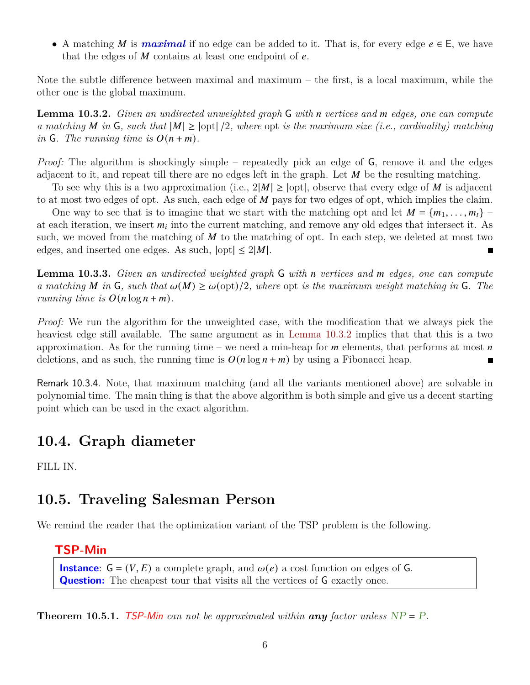• A matching M is **maximal** if no edge can be added to it. That is, for every edge  $e \in E$ , we have that the edges of  $M$  contains at least one endpoint of  $e$ .

Note the subtle difference between maximal and maximum – the first, is a local maximum, while the other one is the global maximum.

<span id="page-5-0"></span>**Lemma 10.3.2.** *Given an undirected unweighted graph* G *with n* vertices and *m* edges, one can compute *a* matching *M* in **G**, such that  $|M| \geq |opt|/2$ , where  $opt$  *is the maximum size (i.e., cardinality) matching in* **G***. The running time is*  $O(n + m)$ *.* 

*Proof:* The algorithm is shockingly simple – repeatedly pick an edge of G, remove it and the edges adjacent to it, and repeat till there are no edges left in the graph. Let  $M$  be the resulting matching.

To see why this is a two approximation (i.e.,  $2|M| \geq |opt|$ , observe that every edge of M is adjacent to at most two edges of opt. As such, each edge of  $M$  pays for two edges of opt, which implies the claim.

One way to see that is to imagine that we start with the matching opt and let  $M = \{m_1, \ldots, m_t\}$ at each iteration, we insert  $m_i$  into the current matching, and remove any old edges that intersect it. As such, we moved from the matching of  $M$  to the matching of opt. In each step, we deleted at most two edges, and inserted one edges. As such,  $|opt| \leq 2|M|$ .

**Lemma 10.3.3.** *Given an undirected weighted graph* G *with* n vertices and m edges, one can compute *a* matching M in G, such that  $\omega(M) \geq \omega(\text{opt})/2$ , where  $\text{opt }$  is the maximum weight matching in G. The *running time is*  $O(n \log n + m)$ *.* 

*Proof:* We run the algorithm for the unweighted case, with the modification that we always pick the heaviest edge still available. The same argument as in [Lemma 10.3.2](#page-5-0) implies that that this is a two approximation. As for the running time – we need a min-heap for  $m$  elements, that performs at most  $n$ deletions, and as such, the running time is  $O(n \log n + m)$  by using a Fibonacci heap.

Remark 10.3.4. Note, that maximum matching (and all the variants mentioned above) are solvable in polynomial time. The main thing is that the above algorithm is both simple and give us a decent starting point which can be used in the exact algorithm.

### **10.4. Graph diameter**

FILL IN.

### **10.5. Traveling Salesman Person**

We remind the reader that the optimization variant of the TSP problem is the following.

#### **TSP-Min**

**Instance**:  $G = (V, E)$  a complete graph, and  $\omega(e)$  a cost function on edges of G. **Question:** The cheapest tour that visits all the vertices of G exactly once.

<span id="page-5-1"></span>**Theorem 10.5.1.** TSP-Min can not be approximated within **any** factor unless  $NP = P$ .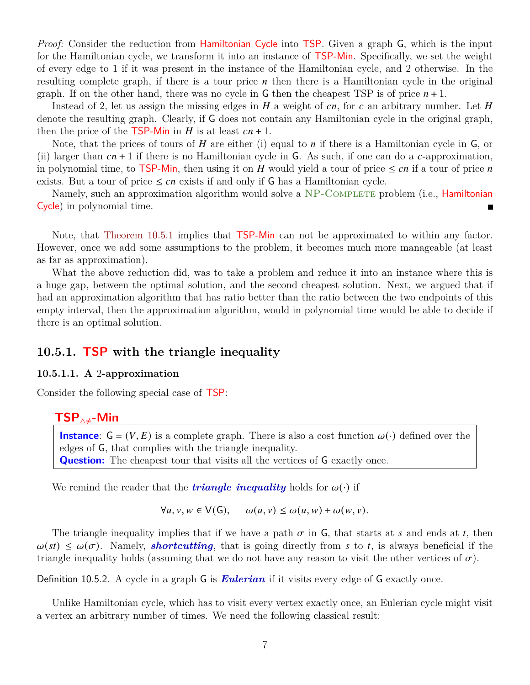*Proof:* Consider the reduction from **Hamiltonian Cycle** into **TSP**. Given a graph G, which is the input for the Hamiltonian cycle, we transform it into an instance of TSP-Min. Specifically, we set the weight of every edge to 1 if it was present in the instance of the Hamiltonian cycle, and 2 otherwise. In the resulting complete graph, if there is a tour price  $n$  then there is a Hamiltonian cycle in the original graph. If on the other hand, there was no cycle in G then the cheapest TSP is of price  $n+1$ .

Instead of 2, let us assign the missing edges in  $H$  a weight of  $cn$ , for  $c$  an arbitrary number. Let  $H$ denote the resulting graph. Clearly, if G does not contain any Hamiltonian cycle in the original graph, then the price of the **TSP-Min** in  $H$  is at least  $cn + 1$ .

Note, that the prices of tours of  $H$  are either (i) equal to  $n$  if there is a Hamiltonian cycle in  $G$ , or (ii) larger than  $cn + 1$  if there is no Hamiltonian cycle in G. As such, if one can do a c-approximation, in polynomial time, to TSP-Min, then using it on H would yield a tour of price  $\leq cn$  if a tour of price n exists. But a tour of price  $\leq cn$  exists if and only if G has a Hamiltonian cycle.

Namely, such an approximation algorithm would solve a NP-COMPLETE problem (i.e., **Hamiltonian** Cycle) in polynomial time.

Note, that [Theorem 10.5.1](#page-5-1) implies that TSP-Min can not be approximated to within any factor. However, once we add some assumptions to the problem, it becomes much more manageable (at least as far as approximation).

What the above reduction did, was to take a problem and reduce it into an instance where this is a huge gap, between the optimal solution, and the second cheapest solution. Next, we argued that if had an approximation algorithm that has ratio better than the ratio between the two endpoints of this empty interval, then the approximation algorithm, would in polynomial time would be able to decide if there is an optimal solution.

#### **10.5.1. TSP with the triangle inequality**

#### **10.5.1.1. A** 2**-approximation**

Consider the following special case of TSP:

### **TSP**4≠**-Min**

**Instance**:  $G = (V, E)$  is a complete graph. There is also a cost function  $\omega(\cdot)$  defined over the edges of G, that complies with the triangle inequality. **Question:** The cheapest tour that visits all the vertices of **G** exactly once.

We remind the reader that the *triangle inequality* holds for  $\omega(\cdot)$  if

 $\forall u, v, w \in V(G), \quad \omega(u, v) \leq \omega(u, w) + \omega(w, v).$ 

The triangle inequality implies that if we have a path  $\sigma$  in G, that starts at s and ends at t, then  $\omega(st) \leq \omega(\sigma)$ . Namely, *shortcutting*, that is going directly from s to t, is always beneficial if the triangle inequality holds (assuming that we do not have any reason to visit the other vertices of  $\sigma$ ).

Definition 10.5.2. A cycle in a graph G is *Eulerian* if it visits every edge of G exactly once.

<span id="page-6-0"></span>Unlike Hamiltonian cycle, which has to visit every vertex exactly once, an Eulerian cycle might visit a vertex an arbitrary number of times. We need the following classical result: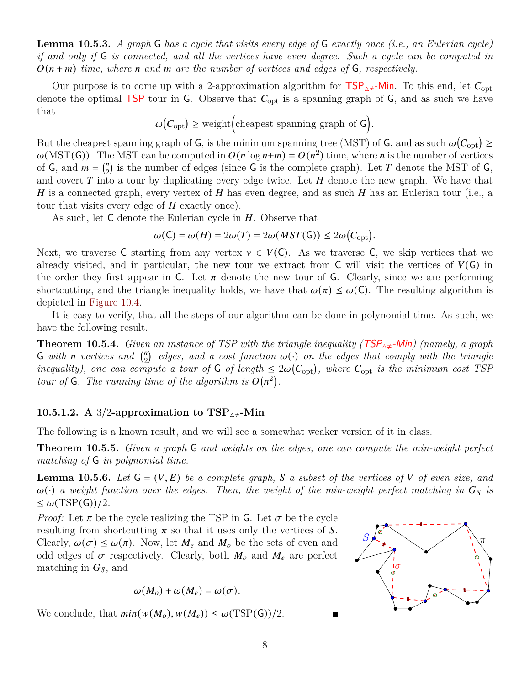**Lemma 10.5.3.** *A graph* G *has a cycle that visits every edge of* G *exactly once (i.e., an Eulerian cycle) if and only if* G *is connected, and all the vertices have even degree. Such a cycle can be computed in*  $O(n+m)$  *time, where n* and *m* are the number of vertices and edges of G, respectively.

Our purpose is to come up with a 2-approximation algorithm for  $TSP_{\Delta \neq}$ -Min. To this end, let  $C_{\rm opt}$ denote the optimal TSP tour in G. Observe that  $C_{opt}$  is a spanning graph of G, and as such we have that

$$
\omega(C_{\rm opt}) \geq {\rm weight} \Big( {\rm cheapest \; spanning \; graph \; of} \; G \Big).
$$

But the cheapest spanning graph of G, is the minimum spanning tree (MST) of G, and as such  $\omega(C_{opt}) \ge$  $\omega(MST(G))$ . The MST can be computed in  $O(n \log n+m) = O(n^2)$  time, where *n* is the number of vertices of  $G$ , and  $m = {n \choose 2}$  $\binom{n}{2}$  is the number of edges (since **G** is the complete graph). Let T denote the MST of **G**, and covert  $T$  into a tour by duplicating every edge twice. Let  $H$  denote the new graph. We have that H is a connected graph, every vertex of H has even degree, and as such H has an Eulerian tour (i.e., a tour that visits every edge of  $H$  exactly once).

As such, let  $C$  denote the Eulerian cycle in  $H$ . Observe that

$$
\omega(\mathsf{C}) = \omega(H) = 2\omega(T) = 2\omega(MST(\mathsf{G})) \le 2\omega(C_{\mathrm{opt}}).
$$

Next, we traverse C starting from any vertex  $v \in V(C)$ . As we traverse C, we skip vertices that we already visited, and in particular, the new tour we extract from  $\mathsf{C}$  will visit the vertices of  $V(\mathsf{G})$  in the order they first appear in C. Let  $\pi$  denote the new tour of G. Clearly, since we are performing shortcutting, and the triangle inequality holds, we have that  $\omega(\pi) \leq \omega(C)$ . The resulting algorithm is depicted in [Figure 10.4.](#page-8-0)

It is easy to verify, that all the steps of our algorithm can be done in polynomial time. As such, we have the following result.

**Theorem 10.5.4.** *Given an instance of TSP with the triangle inequality (TSP<sub>* $\rightarrow \pm$ *</sub>-Min) (namely, a graph* **G** with *n* vertices and  $\binom{n}{2}$  $\binom{n}{2}$  edges, and a cost function  $\omega(\cdot)$  on the edges that comply with the triangle *inequality), one can compute a tour of* G *of length*  $\leq 2\omega(C_{opt})$ , where  $C_{opt}$  *is the minimum cost TSP tour of*  $G$ *. The running time of the algorithm is*  $O(n^2)$ *.* 

#### **10.5.1.2. A** 3/2-approximation to  $TSP_{\Delta \neq}$ -Min

The following is a known result, and we will see a somewhat weaker version of it in class.

**Theorem 10.5.5.** *Given a graph* G *and weights on the edges, one can compute the min-weight perfect matching of* G *in polynomial time.*

<span id="page-7-0"></span>**Lemma 10.5.6.** Let  $G = (V, E)$  be a complete graph, S a subset of the vertices of V of even size, and  $\omega(\cdot)$  *a weight function over the edges. Then, the weight of the min-weight perfect matching in*  $G_s$  is  $\leq \omega(TSP(G))/2$ .

*Proof:* Let  $\pi$  be the cycle realizing the TSP in G. Let  $\sigma$  be the cycle resulting from shortcutting  $\pi$  so that it uses only the vertices of S. Clearly,  $\omega(\sigma) \leq \omega(\pi)$ . Now, let  $M_e$  and  $M_o$  be the sets of even and odd edges of  $\sigma$  respectively. Clearly, both  $M_o$  and  $M_e$  are perfect matching in  $G<sub>S</sub>$ , and

$$
\omega(M_o) + \omega(M_e) = \omega(\sigma).
$$

We conclude, that  $min(w(M_o), w(M_e)) \leq \omega(TSP(G))/2$ .

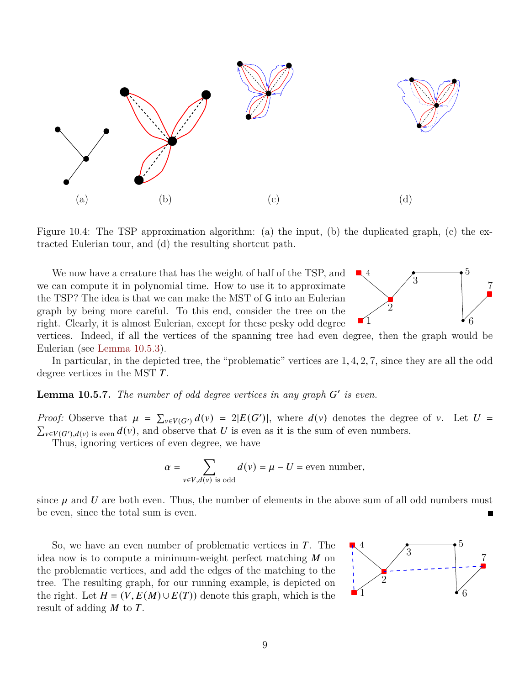<span id="page-8-0"></span>

Figure 10.4: The TSP approximation algorithm: (a) the input, (b) the duplicated graph, (c) the extracted Eulerian tour, and (d) the resulting shortcut path.

We now have a creature that has the weight of half of the TSP, and we can compute it in polynomial time. How to use it to approximate the TSP? The idea is that we can make the MST of G into an Eulerian graph by being more careful. To this end, consider the tree on the right. Clearly, it is almost Eulerian, except for these pesky odd degree



vertices. Indeed, if all the vertices of the spanning tree had even degree, then the graph would be Eulerian (see [Lemma 10.5.3\)](#page-6-0).

In particular, in the depicted tree, the "problematic" vertices are 1, 4, 2, 7, since they are all the odd degree vertices in the MST  $T$ .

**Lemma 10.5.7.** The number of odd degree vertices in any graph G' is even.

*Proof:* Observe that  $\mu = \sum_{v \in V(G')} d(v) = 2|E(G')|$ , where  $d(v)$  denotes the degree of v. Let  $U =$  $\sum_{v \in V(G'),d(v)}$  is even  $d(v)$ , and observe that U is even as it is the sum of even numbers.

Thus, ignoring vertices of even degree, we have

$$
\alpha = \sum_{v \in V, d(v) \text{ is odd}} d(v) = \mu - U = \text{even number},
$$

since  $\mu$  and  $\bar{U}$  are both even. Thus, the number of elements in the above sum of all odd numbers must be even, since the total sum is even.

So, we have an even number of problematic vertices in  $T$ . The idea now is to compute a minimum-weight perfect matching  $M$  on the problematic vertices, and add the edges of the matching to the tree. The resulting graph, for our running example, is depicted on the right. Let  $H = (V, E(M) \cup E(T))$  denote this graph, which is the result of adding  $M$  to  $T$ .